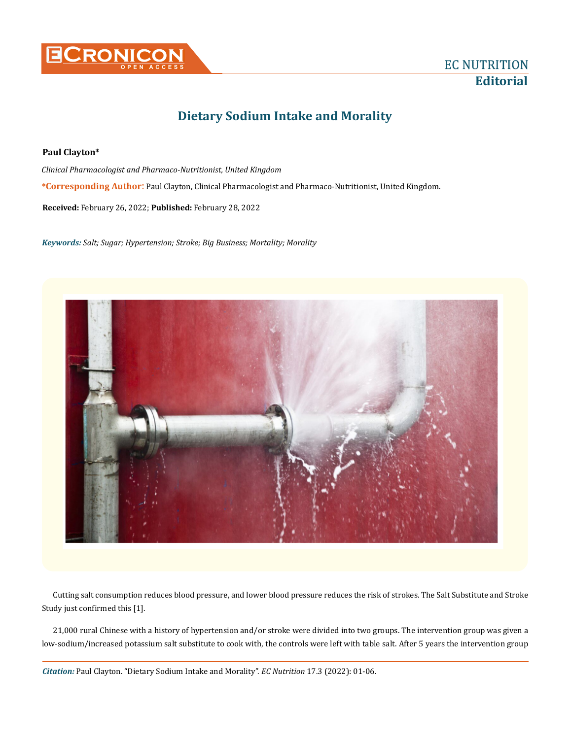

## **Dietary Sodium Intake and Morality**

## **Paul Clayton\***

**\*Corresponding Author**: Paul Clayton, Clinical Pharmacologist and Pharmaco-Nutritionist, United Kingdom. *Clinical Pharmacologist and Pharmaco-Nutritionist, United Kingdom*

**Received:** February 26, 2022; **Published:** February 28, 2022

*Keywords: Salt; Sugar; Hypertension; Stroke; Big Business; Mortality; Morality*



Cutting salt consumption reduces blood pressure, and lower blood pressure reduces the risk of strokes. The Salt Substitute and Stroke Study just confirmed this [1].

21,000 rural Chinese with a history of hypertension and/or stroke were divided into two groups. The intervention group was given a low-sodium/increased potassium salt substitute to cook with, the controls were left with table salt. After 5 years the intervention group

*Citation:* Paul Clayton. "Dietary Sodium Intake and Morality". *EC Nutrition* 17.3 (2022): 01-06.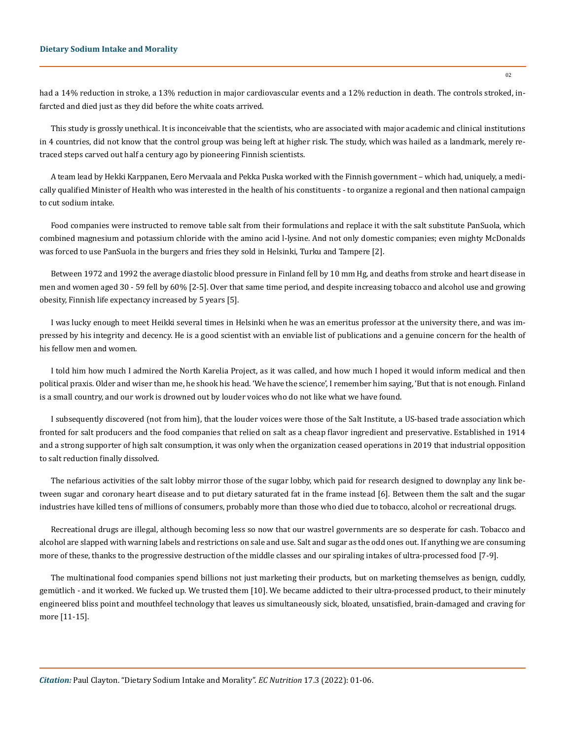## **Dietary Sodium Intake and Morality**

had a 14% reduction in stroke, a 13% reduction in major cardiovascular events and a 12% reduction in death. The controls stroked, infarcted and died just as they did before the white coats arrived.

This study is grossly unethical. It is inconceivable that the scientists, who are associated with major academic and clinical institutions in 4 countries, did not know that the control group was being left at higher risk. The study, which was hailed as a landmark, merely retraced steps carved out half a century ago by pioneering Finnish scientists.

A team lead by Hekki Karppanen, Eero Mervaala and Pekka Puska worked with the Finnish government – which had, uniquely, a medically qualified Minister of Health who was interested in the health of his constituents - to organize a regional and then national campaign to cut sodium intake.

Food companies were instructed to remove table salt from their formulations and replace it with the salt substitute PanSuola, which combined magnesium and potassium chloride with the amino acid l-lysine. And not only domestic companies; even mighty McDonalds was forced to use PanSuola in the burgers and fries they sold in Helsinki, Turku and Tampere [2].

Between 1972 and 1992 the average diastolic blood pressure in Finland fell by 10 mm Hg, and deaths from stroke and heart disease in men and women aged 30 - 59 fell by 60% [2-5]. Over that same time period, and despite increasing tobacco and alcohol use and growing obesity, Finnish life expectancy increased by 5 years [5].

I was lucky enough to meet Heikki several times in Helsinki when he was an emeritus professor at the university there, and was impressed by his integrity and decency. He is a good scientist with an enviable list of publications and a genuine concern for the health of his fellow men and women.

I told him how much I admired the North Karelia Project, as it was called, and how much I hoped it would inform medical and then political praxis. Older and wiser than me, he shook his head. 'We have the science', I remember him saying, 'But that is not enough. Finland is a small country, and our work is drowned out by louder voices who do not like what we have found.

I subsequently discovered (not from him), that the louder voices were those of the Salt Institute, a US-based trade association which fronted for salt producers and the food companies that relied on salt as a cheap flavor ingredient and preservative. Established in 1914 and a strong supporter of high salt consumption, it was only when the organization ceased operations in 2019 that industrial opposition to salt reduction finally dissolved.

The nefarious activities of the salt lobby mirror those of the sugar lobby, which paid for research designed to downplay any link between sugar and coronary heart disease and to put dietary saturated fat in the frame instead [6]. Between them the salt and the sugar industries have killed tens of millions of consumers, probably more than those who died due to tobacco, alcohol or recreational drugs.

Recreational drugs are illegal, although becoming less so now that our wastrel governments are so desperate for cash. Tobacco and alcohol are slapped with warning labels and restrictions on sale and use. Salt and sugar as the odd ones out. If anything we are consuming more of these, thanks to the progressive destruction of the middle classes and our spiraling intakes of ultra-processed food [7-9].

The multinational food companies spend billions not just marketing their products, but on marketing themselves as benign, cuddly, gemütlich - and it worked. We fucked up. We trusted them [10]. We became addicted to their ultra-processed product, to their minutely engineered bliss point and mouthfeel technology that leaves us simultaneously sick, bloated, unsatisfied, brain-damaged and craving for more [11-15].

*Citation:* Paul Clayton. "Dietary Sodium Intake and Morality". *EC Nutrition* 17.3 (2022): 01-06.

 $02$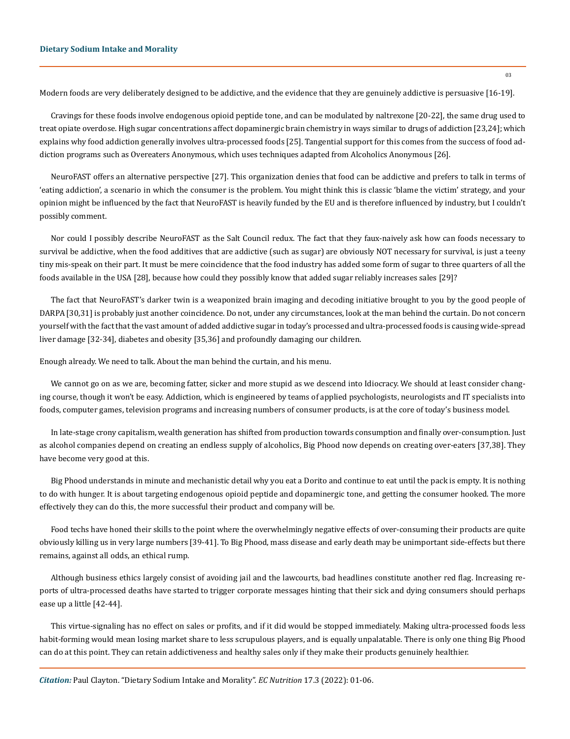Modern foods are very deliberately designed to be addictive, and the evidence that they are genuinely addictive is persuasive [16-19].

Cravings for these foods involve endogenous opioid peptide tone, and can be modulated by naltrexone [20-22], the same drug used to treat opiate overdose. High sugar concentrations affect dopaminergic brain chemistry in ways similar to drugs of addiction [23,24]; which explains why food addiction generally involves ultra-processed foods [25]. Tangential support for this comes from the success of food addiction programs such as Overeaters Anonymous, which uses techniques adapted from Alcoholics Anonymous [26].

NeuroFAST offers an alternative perspective [27]. This organization denies that food can be addictive and prefers to talk in terms of 'eating addiction', a scenario in which the consumer is the problem. You might think this is classic 'blame the victim' strategy, and your opinion might be influenced by the fact that NeuroFAST is heavily funded by the EU and is therefore influenced by industry, but I couldn't possibly comment.

Nor could I possibly describe NeuroFAST as the Salt Council redux. The fact that they faux-naively ask how can foods necessary to survival be addictive, when the food additives that are addictive (such as sugar) are obviously NOT necessary for survival, is just a teeny tiny mis-speak on their part. It must be mere coincidence that the food industry has added some form of sugar to three quarters of all the foods available in the USA [28], because how could they possibly know that added sugar reliably increases sales [29]?

The fact that NeuroFAST's darker twin is a weaponized brain imaging and decoding initiative brought to you by the good people of DARPA [30,31] is probably just another coincidence. Do not, under any circumstances, look at the man behind the curtain. Do not concern yourself with the fact that the vast amount of added addictive sugar in today's processed and ultra-processed foods is causing wide-spread liver damage [32-34], diabetes and obesity [35,36] and profoundly damaging our children.

Enough already. We need to talk. About the man behind the curtain, and his menu.

We cannot go on as we are, becoming fatter, sicker and more stupid as we descend into Idiocracy. We should at least consider changing course, though it won't be easy. Addiction, which is engineered by teams of applied psychologists, neurologists and IT specialists into foods, computer games, television programs and increasing numbers of consumer products, is at the core of today's business model.

In late-stage crony capitalism, wealth generation has shifted from production towards consumption and finally over-consumption. Just as alcohol companies depend on creating an endless supply of alcoholics, Big Phood now depends on creating over-eaters [37,38]. They have become very good at this.

Big Phood understands in minute and mechanistic detail why you eat a Dorito and continue to eat until the pack is empty. It is nothing to do with hunger. It is about targeting endogenous opioid peptide and dopaminergic tone, and getting the consumer hooked. The more effectively they can do this, the more successful their product and company will be.

Food techs have honed their skills to the point where the overwhelmingly negative effects of over-consuming their products are quite obviously killing us in very large numbers [39-41]. To Big Phood, mass disease and early death may be unimportant side-effects but there remains, against all odds, an ethical rump.

Although business ethics largely consist of avoiding jail and the lawcourts, bad headlines constitute another red flag. Increasing reports of ultra-processed deaths have started to trigger corporate messages hinting that their sick and dying consumers should perhaps ease up a little [42-44].

This virtue-signaling has no effect on sales or profits, and if it did would be stopped immediately. Making ultra-processed foods less habit-forming would mean losing market share to less scrupulous players, and is equally unpalatable. There is only one thing Big Phood can do at this point. They can retain addictiveness and healthy sales only if they make their products genuinely healthier.

*Citation:* Paul Clayton. "Dietary Sodium Intake and Morality". *EC Nutrition* 17.3 (2022): 01-06.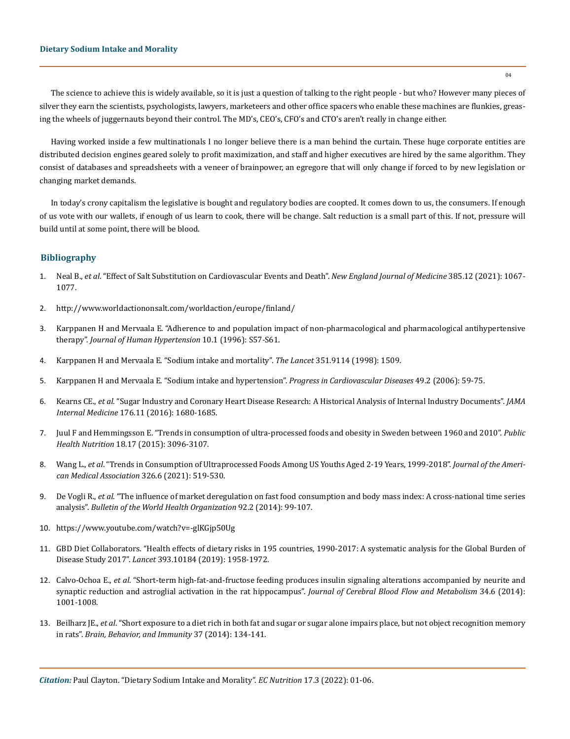The science to achieve this is widely available, so it is just a question of talking to the right people - but who? However many pieces of silver they earn the scientists, psychologists, lawyers, marketeers and other office spacers who enable these machines are flunkies, greasing the wheels of juggernauts beyond their control. The MD's, CEO's, CFO's and CTO's aren't really in change either.

Having worked inside a few multinationals I no longer believe there is a man behind the curtain. These huge corporate entities are distributed decision engines geared solely to profit maximization, and staff and higher executives are hired by the same algorithm. They consist of databases and spreadsheets with a veneer of brainpower, an egregore that will only change if forced to by new legislation or changing market demands.

In today's crony capitalism the legislative is bought and regulatory bodies are coopted. It comes down to us, the consumers. If enough of us vote with our wallets, if enough of us learn to cook, there will be change. Salt reduction is a small part of this. If not, pressure will build until at some point, there will be blood.

## **Bibliography**

- 1. Neal B., *et al*[. "Effect of Salt Substitution on Cardiovascular Events and Death".](https://pubmed.ncbi.nlm.nih.gov/34459569/) *New England Journal of Medicine* 385.12 (2021): 1067- [1077.](https://pubmed.ncbi.nlm.nih.gov/34459569/)
- 2. <http://www.worldactiononsalt.com/worldaction/europe/finland/>
- 3. [Karppanen H and Mervaala E. "Adherence to and population impact of non-pharmacological and pharmacological antihypertensive](https://pubmed.ncbi.nlm.nih.gov/8965292/) therapy". *[Journal of Human Hypertension](https://pubmed.ncbi.nlm.nih.gov/8965292/)* 10.1 (1996): S57-S61.
- 4. [Karppanen H and Mervaala E. "Sodium intake and mortality".](https://pubmed.ncbi.nlm.nih.gov/9605823/) *The Lancet* 351.9114 (1998): 1509.
- 5. [Karppanen H and Mervaala E. "Sodium intake and hypertension".](https://pubmed.ncbi.nlm.nih.gov/17046432/) *Progress in Cardiovascular Diseases* 49.2 (2006): 59-75.
- 6. Kearns CE., *et al*[. "Sugar Industry and Coronary Heart Disease Research: A Historical Analysis of Internal Industry Documents".](https://pubmed.ncbi.nlm.nih.gov/27617709/) *JAMA Internal Medicine* [176.11 \(2016\): 1680-1685.](https://pubmed.ncbi.nlm.nih.gov/27617709/)
- 7. [Juul F and Hemmingsson E. "Trends in consumption of ultra-processed foods and obesity in Sweden between 1960 and 2010".](https://pubmed.ncbi.nlm.nih.gov/25804833/) *Public Health Nutrition* [18.17 \(2015\): 3096-3107.](https://pubmed.ncbi.nlm.nih.gov/25804833/)
- 8. Wang L., *et al*[. "Trends in Consumption of Ultraprocessed Foods Among US Youths Aged 2-19 Years, 1999-2018".](https://pubmed.ncbi.nlm.nih.gov/34374722/) *Journal of the Ameri[can Medical Association](https://pubmed.ncbi.nlm.nih.gov/34374722/)* 326.6 (2021): 519-530.
- 9. De Vogli R., *et al*[. "The influence of market deregulation on fast food consumption and body mass index: A cross-national time series](https://pubmed.ncbi.nlm.nih.gov/24623903/) analysis". *[Bulletin of the World Health Organization](https://pubmed.ncbi.nlm.nih.gov/24623903/)* 92.2 (2014): 99-107.
- 10. <https://www.youtube.com/watch?v=-glKGjp50Ug>
- 11. [GBD Diet Collaborators. "Health effects of dietary risks in 195 countries, 1990-2017: A systematic analysis for the Global Burden of](https://pubmed.ncbi.nlm.nih.gov/30954305/) Disease Study 2017". *Lancet* [393.10184 \(2019\): 1958-1972.](https://pubmed.ncbi.nlm.nih.gov/30954305/)
- 12. Calvo-Ochoa E., *et al*[. "Short-term high-fat-and-fructose feeding produces insulin signaling alterations accompanied by neurite and](https://pubmed.ncbi.nlm.nih.gov/24667917/) [synaptic reduction and astroglial activation in the rat hippocampus".](https://pubmed.ncbi.nlm.nih.gov/24667917/) *Journal of Cerebral Blood Flow and Metabolism* 34.6 (2014): [1001-1008.](https://pubmed.ncbi.nlm.nih.gov/24667917/)
- 13. Beilharz JE., *et al*[. "Short exposure to a diet rich in both fat and sugar or sugar alone impairs place, but not object recognition memory](https://pubmed.ncbi.nlm.nih.gov/24309633/) in rats". *[Brain, Behavior, and Immunity](https://pubmed.ncbi.nlm.nih.gov/24309633/)* 37 (2014): 134-141.

*Citation:* Paul Clayton. "Dietary Sodium Intake and Morality". *EC Nutrition* 17.3 (2022): 01-06.

04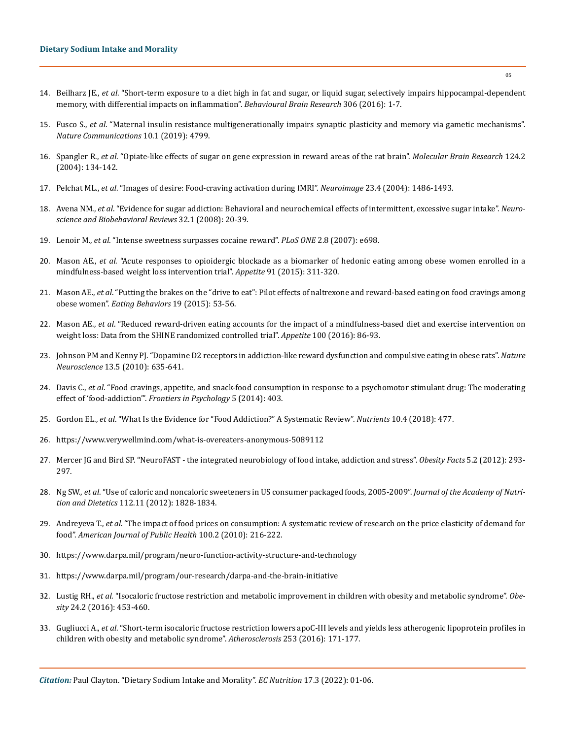- 14. Beilharz JE., *et al*[. "Short-term exposure to a diet high in fat and sugar, or liquid sugar, selectively impairs hippocampal-dependent](https://pubmed.ncbi.nlm.nih.gov/26970578/) [memory, with differential impacts on inflammation".](https://pubmed.ncbi.nlm.nih.gov/26970578/) *Behavioural Brain Research* 306 (2016): 1-7.
- 15. Fusco S., *et al*[. "Maternal insulin resistance multigenerationally impairs synaptic plasticity and memory via gametic mechanisms".](https://www.nature.com/articles/s41467-019-12793-3) *[Nature Communications](https://www.nature.com/articles/s41467-019-12793-3)* 10.1 (2019): 4799.
- 16. Spangler R., *et al*[. "Opiate-like effects of sugar on gene expression in reward areas of the rat brain".](https://pubmed.ncbi.nlm.nih.gov/15135221/) *Molecular Brain Research* 124.2 [\(2004\): 134-142.](https://pubmed.ncbi.nlm.nih.gov/15135221/)
- 17. Pelchat ML., *et al*[. "Images of desire: Food-craving activation during fMRI".](https://pubmed.ncbi.nlm.nih.gov/15589112/) *Neuroimage* 23.4 (2004): 1486-1493.
- 18. Avena NM., *et al*[. "Evidence for sugar addiction: Behavioral and neurochemical effects of intermittent, excessive sugar intake".](https://pubmed.ncbi.nlm.nih.gov/17617461/) *Neuro[science and Biobehavioral Reviews](https://pubmed.ncbi.nlm.nih.gov/17617461/)* 32.1 (2008): 20-39.
- 19. Lenoir M., *et al*[. "Intense sweetness surpasses cocaine reward".](https://pubmed.ncbi.nlm.nih.gov/17668074/) *PLoS ONE* 2.8 (2007): e698.
- 20. Mason AE., *et al*[. "Acute responses to opioidergic blockade as a biomarker of hedonic eating among obese women enrolled in a](https://pubmed.ncbi.nlm.nih.gov/25931433/) [mindfulness-based weight loss intervention trial".](https://pubmed.ncbi.nlm.nih.gov/25931433/) *Appetite* 91 (2015): 311-320.
- 21. Mason AE., *et al*[. "Putting the brakes on the "drive to eat": Pilot effects of naltrexone and reward-based eating on food cravings among](https://pubmed.ncbi.nlm.nih.gov/26164674/) obese women". *[Eating Behaviors](https://pubmed.ncbi.nlm.nih.gov/26164674/)* 19 (2015): 53-56.
- 22. Mason AE., *et al*[. "Reduced reward-driven eating accounts for the impact of a mindfulness-based diet and exercise intervention on](https://pubmed.ncbi.nlm.nih.gov/26867697/) [weight loss: Data from the SHINE randomized controlled trial".](https://pubmed.ncbi.nlm.nih.gov/26867697/) *Appetite* 100 (2016): 86-93.
- 23. [Johnson PM and Kenny PJ. "Dopamine D2 receptors in addiction-like reward dysfunction and compulsive eating in obese rats".](https://pubmed.ncbi.nlm.nih.gov/20348917/) *Nature Neuroscience* [13.5 \(2010\): 635-641.](https://pubmed.ncbi.nlm.nih.gov/20348917/)
- 24. Davis C., *et al*[. "Food cravings, appetite, and snack-food consumption in response to a psychomotor stimulant drug: The moderating](https://pubmed.ncbi.nlm.nih.gov/24847301/) effect of 'food-addiction'". *[Frontiers in Psychology](https://pubmed.ncbi.nlm.nih.gov/24847301/)* 5 (2014): 403.
- 25. Gordon EL., *et al*[. "What Is the Evidence for "Food Addiction?" A Systematic Review".](https://pubmed.ncbi.nlm.nih.gov/29649120/) *Nutrients* 10.4 (2018): 477.
- 26. <https://www.verywellmind.com/what-is-overeaters-anonymous-5089112>
- 27. [Mercer JG and Bird SP. "NeuroFAST the integrated neurobiology of food intake, addiction and stress".](https://pubmed.ncbi.nlm.nih.gov/22647310/) *Obesity Facts* 5.2 (2012): 293- [297.](https://pubmed.ncbi.nlm.nih.gov/22647310/)
- 28. Ng SW., *et al*[. "Use of caloric and noncaloric sweeteners in US consumer packaged foods, 2005-2009".](https://pubmed.ncbi.nlm.nih.gov/23102182/) *Journal of the Academy of Nutrition and Dietetics* [112.11 \(2012\): 1828-1834.](https://pubmed.ncbi.nlm.nih.gov/23102182/)
- 29. Andreyeva T., *et al*[. "The impact of food prices on consumption: A systematic review of research on the price elasticity of demand for](https://pubmed.ncbi.nlm.nih.gov/20019319/) food". *[American Journal of Public Health](https://pubmed.ncbi.nlm.nih.gov/20019319/)* 100.2 (2010): 216-222.
- 30. <https://www.darpa.mil/program/neuro-function-activity-structure-and-technology>
- 31. <https://www.darpa.mil/program/our-research/darpa-and-the-brain-initiative>
- 32. Lustig RH., *et al*[. "Isocaloric fructose restriction and metabolic improvement in children with obesity and metabolic syndrome".](https://pubmed.ncbi.nlm.nih.gov/26499447/) *Obesity* [24.2 \(2016\): 453-460.](https://pubmed.ncbi.nlm.nih.gov/26499447/)
- 33. Gugliucci A., *et al*[. "Short-term isocaloric fructose restriction lowers apoC-III levels and yields less atherogenic lipoprotein profiles in](https://pubmed.ncbi.nlm.nih.gov/27451002/) [children with obesity and metabolic syndrome".](https://pubmed.ncbi.nlm.nih.gov/27451002/) *Atherosclerosis* 253 (2016): 171-177.